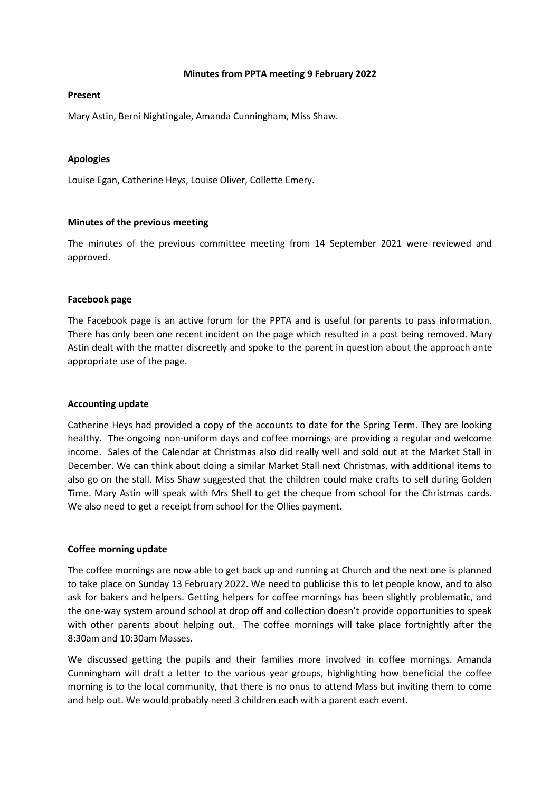#### **Minutes from PPTA meeting 9 February 2022**

#### **Present**

Mary Astin, Berni Nightingale, Amanda Cunningham, Miss Shaw.

# **Apologies**

Louise Egan, Catherine Heys, Louise Oliver, Collette Emery.

# **Minutes of the previous meeting**

The minutes of the previous committee meeting from 14 September 2021 were reviewed and approved.

## **Facebook page**

The Facebook page is an active forum for the PPTA and is useful for parents to pass information. There has only been one recent incident on the page which resulted in a post being removed. Mary Astin dealt with the matter discreetly and spoke to the parent in question about the approach ante appropriate use of the page.

## **Accounting update**

Catherine Heys had provided a copy of the accounts to date for the Spring Term. They are looking healthy. The ongoing non-uniform days and coffee mornings are providing a regular and welcome income. Sales of the Calendar at Christmas also did really well and sold out at the Market Stall in December. We can think about doing a similar Market Stall next Christmas, with additional items to also go on the stall. Miss Shaw suggested that the children could make crafts to sell during Golden Time. Mary Astin will speak with Mrs Shell to get the cheque from school for the Christmas cards. We also need to get a receipt from school for the Ollies payment.

## **Coffee morning update**

The coffee mornings are now able to get back up and running at Church and the next one is planned to take place on Sunday 13 February 2022. We need to publicise this to let people know, and to also ask for bakers and helpers. Getting helpers for coffee mornings has been slightly problematic, and the one-way system around school at drop off and collection doesn't provide opportunities to speak with other parents about helping out. The coffee mornings will take place fortnightly after the 8:30am and 10:30am Masses.

We discussed getting the pupils and their families more involved in coffee mornings. Amanda Cunningham will draft a letter to the various year groups, highlighting how beneficial the coffee morning is to the local community, that there is no onus to attend Mass but inviting them to come and help out. We would probably need 3 children each with a parent each event.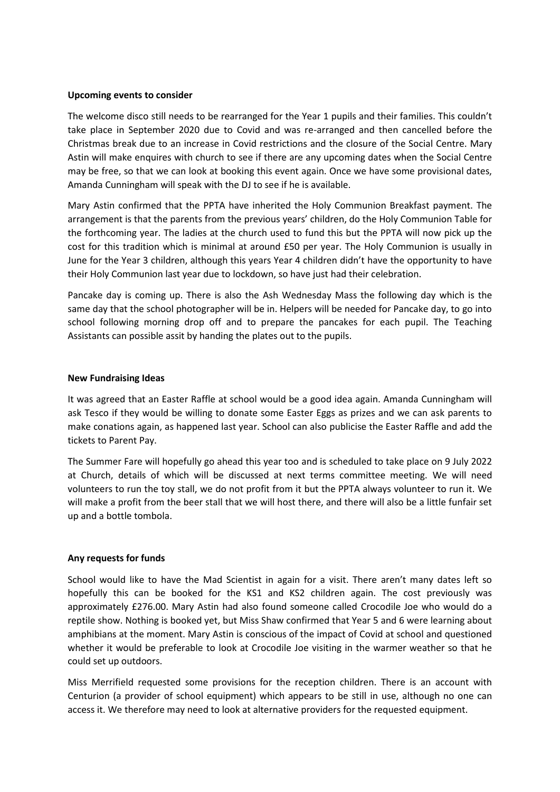#### **Upcoming events to consider**

The welcome disco still needs to be rearranged for the Year 1 pupils and their families. This couldn't take place in September 2020 due to Covid and was re-arranged and then cancelled before the Christmas break due to an increase in Covid restrictions and the closure of the Social Centre. Mary Astin will make enquires with church to see if there are any upcoming dates when the Social Centre may be free, so that we can look at booking this event again. Once we have some provisional dates, Amanda Cunningham will speak with the DJ to see if he is available.

Mary Astin confirmed that the PPTA have inherited the Holy Communion Breakfast payment. The arrangement is that the parents from the previous years' children, do the Holy Communion Table for the forthcoming year. The ladies at the church used to fund this but the PPTA will now pick up the cost for this tradition which is minimal at around £50 per year. The Holy Communion is usually in June for the Year 3 children, although this years Year 4 children didn't have the opportunity to have their Holy Communion last year due to lockdown, so have just had their celebration.

Pancake day is coming up. There is also the Ash Wednesday Mass the following day which is the same day that the school photographer will be in. Helpers will be needed for Pancake day, to go into school following morning drop off and to prepare the pancakes for each pupil. The Teaching Assistants can possible assit by handing the plates out to the pupils.

#### **New Fundraising Ideas**

It was agreed that an Easter Raffle at school would be a good idea again. Amanda Cunningham will ask Tesco if they would be willing to donate some Easter Eggs as prizes and we can ask parents to make conations again, as happened last year. School can also publicise the Easter Raffle and add the tickets to Parent Pay.

The Summer Fare will hopefully go ahead this year too and is scheduled to take place on 9 July 2022 at Church, details of which will be discussed at next terms committee meeting. We will need volunteers to run the toy stall, we do not profit from it but the PPTA always volunteer to run it. We will make a profit from the beer stall that we will host there, and there will also be a little funfair set up and a bottle tombola.

## **Any requests for funds**

School would like to have the Mad Scientist in again for a visit. There aren't many dates left so hopefully this can be booked for the KS1 and KS2 children again. The cost previously was approximately £276.00. Mary Astin had also found someone called Crocodile Joe who would do a reptile show. Nothing is booked yet, but Miss Shaw confirmed that Year 5 and 6 were learning about amphibians at the moment. Mary Astin is conscious of the impact of Covid at school and questioned whether it would be preferable to look at Crocodile Joe visiting in the warmer weather so that he could set up outdoors.

Miss Merrifield requested some provisions for the reception children. There is an account with Centurion (a provider of school equipment) which appears to be still in use, although no one can access it. We therefore may need to look at alternative providers for the requested equipment.